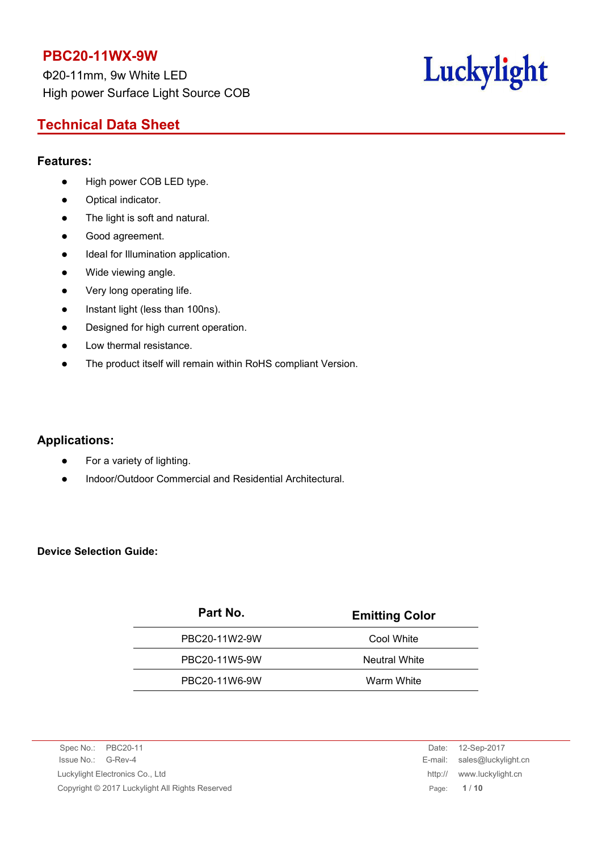Φ20-11mm, 9w White LED High power Surface Light Source COB

# Luckylight

# **Technical Data Sheet**

#### **Features:**

- High power COB LED type.
- Optical indicator.
- The light is soft and natural.
- Good agreement.
- $\bullet$  Ideal for Illumination application.
- Wide viewing angle.
- Very long operating life.
- Instant light (less than 100ns).
- Designed for high current operation.
- Low thermal resistance.
- The product itself will remain within RoHS compliant Version.

#### **Applications:**

- For a variety of lighting.
- Indoor/Outdoor Commercial and Residential Architectural.

#### **Device Selection Guide:**

| Part No.      | <b>Emitting Color</b> |
|---------------|-----------------------|
| PBC20-11W2-9W | Cool White            |
| PBC20-11W5-9W | <b>Neutral White</b>  |
| PBC20-11W6-9W | Warm White            |

Spec No.: PBC20-11 Date: 12-Sep-2017 Issue No.: G-Rev-4 E-mail: sales@luckylight.cn Luckylight Electronics Co., Ltd http:// www.luckylight.cn Copyright © 2017 Luckylight All Rights Reserved Page: **1** / **10**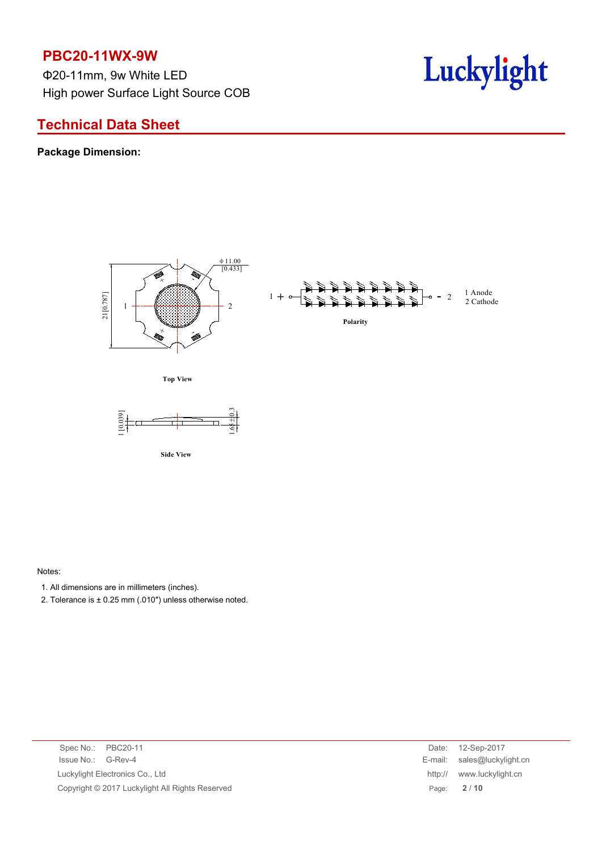Φ20-11mm, 9w White LED High power Surface Light Source COB

# Luckylight

# **Technical Data Sheet**

#### **Package Dimension:**



Notes:

- 1. All dimensions are in millimeters (inches).
- 2. Tolerance is  $\pm$  0.25 mm (.010") unless otherwise noted.

|  | Spec No.: PBC20-11                              | Date: 12-Sep-2017           |
|--|-------------------------------------------------|-----------------------------|
|  | Issue No.: G-Rev-4                              | E-mail: sales@luckylight.cn |
|  | Luckylight Electronics Co., Ltd                 | http:// www.luckylight.cn   |
|  | Copyright © 2017 Luckylight All Rights Reserved | Page: $2/10$                |
|  |                                                 |                             |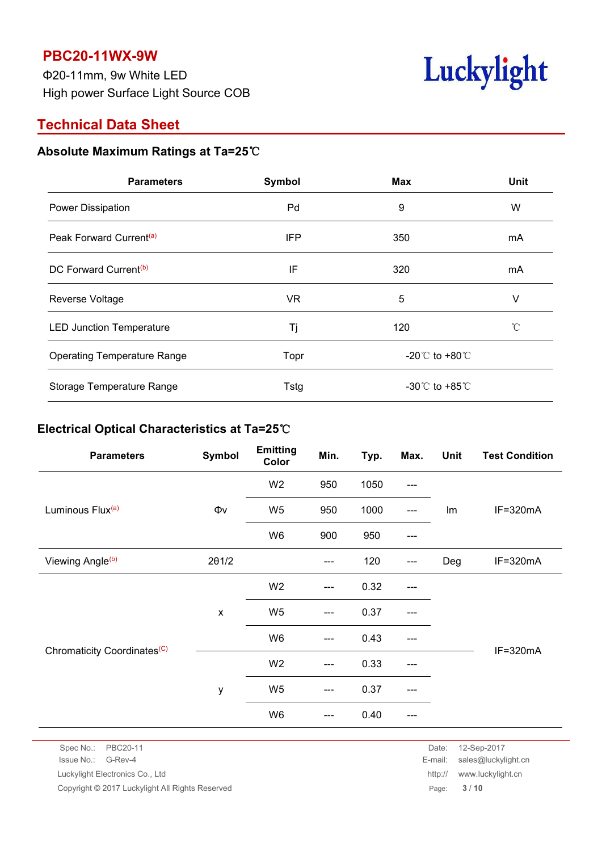Φ20-11mm, 9w White LED High power Surface Light Source COB



## **Technical Data Sheet**

### **Absolute Maximum Ratings at Ta=25**℃

| <b>Parameters</b>                   | Symbol     | <b>Max</b>                           | Unit |
|-------------------------------------|------------|--------------------------------------|------|
| Power Dissipation                   | Pd         | 9                                    | W    |
| Peak Forward Current <sup>(a)</sup> | <b>IFP</b> | 350                                  | mA   |
| DC Forward Current <sup>(b)</sup>   | IF         | 320                                  | mA   |
| Reverse Voltage                     | <b>VR</b>  | 5                                    | V    |
| <b>LED Junction Temperature</b>     | Τj         | 120                                  | °C   |
| <b>Operating Temperature Range</b>  | Topr       | -20 $^{\circ}$ C to +80 $^{\circ}$ C |      |
| Storage Temperature Range           | Tstg       | -30 $^{\circ}$ C to +85 $^{\circ}$ C |      |

#### **Electrical Optical Characteristics at Ta=25**℃

| <b>Parameters</b>                       | Symbol             | <b>Emitting</b><br>Color | Min.                                                                                                              | Typ. | Max.  | Unit | <b>Test Condition</b> |  |
|-----------------------------------------|--------------------|--------------------------|-------------------------------------------------------------------------------------------------------------------|------|-------|------|-----------------------|--|
|                                         |                    | W <sub>2</sub>           | 950                                                                                                               | 1050 | ---   |      |                       |  |
| Luminous Flux <sup>(a)</sup>            | $\Phi\mathsf{v}$   | W <sub>5</sub>           | 950                                                                                                               | 1000 | $---$ | Im   | $IF = 320mA$          |  |
|                                         |                    | W6                       | 900                                                                                                               | 950  | ---   |      |                       |  |
| Viewing Angle <sup>(b)</sup>            | $2\theta$ 1/2      |                          | $---$                                                                                                             | 120  | $---$ | Deg  | $IF=320mA$            |  |
|                                         |                    | W <sub>2</sub>           | $\hspace{0.05cm}---\hspace{0.05cm}$                                                                               | 0.32 | $---$ |      |                       |  |
|                                         | $\pmb{\mathsf{x}}$ | W <sub>5</sub>           | $---$                                                                                                             | 0.37 | ---   |      |                       |  |
| Chromaticity Coordinates <sup>(C)</sup> |                    | W6                       | $\hspace{0.05cm}---\hspace{0.05cm}$                                                                               | 0.43 | $---$ |      |                       |  |
|                                         |                    | W <sub>2</sub>           | $\hspace{0.05cm}---\hspace{0.05cm}$                                                                               | 0.33 | ---   |      | $IF=320mA$            |  |
|                                         | у                  | W <sub>5</sub>           | $\hspace{0.05cm} \hspace{0.02cm} \hspace{0.02cm} \hspace{0.02cm} \hspace{0.02cm} \hspace{0.02cm} \hspace{0.02cm}$ | 0.37 | ---   |      |                       |  |
|                                         |                    | W <sub>6</sub>           | $---$                                                                                                             | 0.40 | ---   |      |                       |  |

Spec No.: PBC20-11 Date: 12-Sep-2017 Issue No.: G-Rev-4 E-mail: sales@luckylight.cn

Luckylight Electronics Co., Ltd http:// www.luckylight.cn

Copyright © 2017 Luckylight All Rights Reserved **Page:** 3 / 10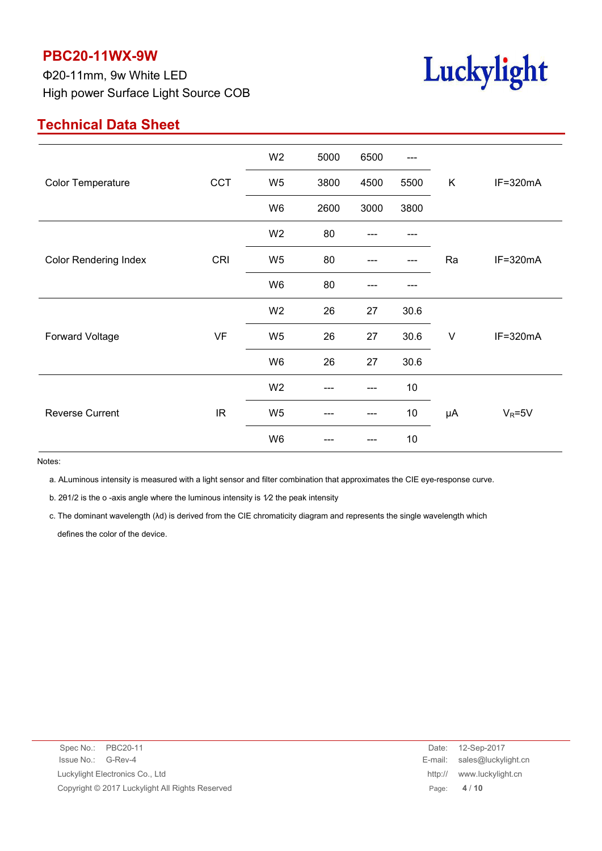Φ20-11mm, 9w White LED High power Surface Light Source COB



# **Technical Data Sheet**

|                              |                                   | W <sub>2</sub> | 5000 | 6500   | $---$ |        |              |
|------------------------------|-----------------------------------|----------------|------|--------|-------|--------|--------------|
| <b>Color Temperature</b>     | CCT                               | W <sub>5</sub> | 3800 | 4500   | 5500  | K      | IF=320mA     |
|                              |                                   | W6             | 2600 | 3000   | 3800  |        |              |
|                              |                                   | W <sub>2</sub> | 80   |        |       |        |              |
| <b>Color Rendering Index</b> | CRI                               | W <sub>5</sub> | 80   |        |       | Ra     | $IF = 320mA$ |
|                              |                                   | W6             | 80   | ---    |       |        |              |
|                              |                                   | W <sub>2</sub> | 26   | 27     | 30.6  |        |              |
| Forward Voltage              | VF                                | W <sub>5</sub> | 26   | 27     | 30.6  | $\vee$ | IF=320mA     |
|                              |                                   | W <sub>6</sub> | 26   | $27\,$ | 30.6  |        |              |
|                              |                                   | W <sub>2</sub> |      | ---    | 10    |        |              |
| <b>Reverse Current</b>       | $\ensuremath{\mathsf{IR}}\xspace$ | W <sub>5</sub> |      | ---    | $10$  | μA     | $V_R = 5V$   |
|                              |                                   | W6             |      | ---    | 10    |        |              |
|                              |                                   |                |      |        |       |        |              |

Notes:

a. ALuminous intensity is measured with a light sensor and filter combination that approximates the CIE eye-response curve.

b. 201/2 is the o -axis angle where the luminous intensity is 1/2 the peak intensity

c. The dominant wavelength (λd) is derived from the CIE chromaticity diagram and represents the single wavelength which defines the color of the device.

| Spec No.: PBC20-11                              |         | Date: 12-Sep-2017           |
|-------------------------------------------------|---------|-----------------------------|
| Issue No.: G-Rev-4                              |         | E-mail: sales@luckylight.cn |
| Luckylight Electronics Co., Ltd                 | http:// | www.luckylight.cn           |
| Copyright © 2017 Luckylight All Rights Reserved |         | Page: $4/10$                |
|                                                 |         |                             |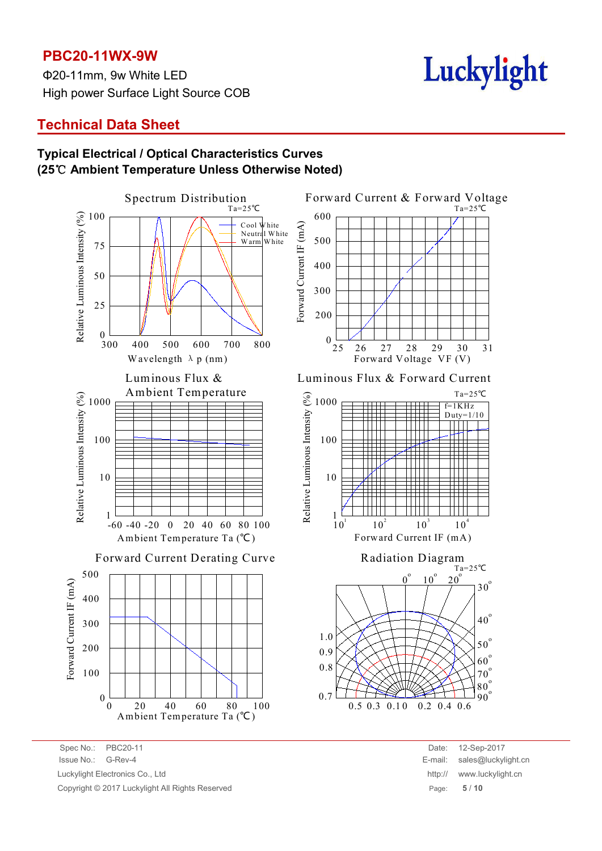Φ20-11mm, 9w White LED High power Surface Light Source COB

# Luckylight

# **Technical Data Sheet**

#### **Typical Electrical / Optical Characteristics Curves (25**℃ **Ambient Temperature Unless Otherwise Noted)**



Spec No.: PBC20-11 Date: 12-Sep-2017 Issue No.: G-Rev-4 E-mail: sales@luckylight.cn Luckylight Electronics Co., Ltd **http:// www.luckylight.cn** http:// www.luckylight.cn Copyright © 2017 Luckylight All Rights Reserved Page: **5** / **10**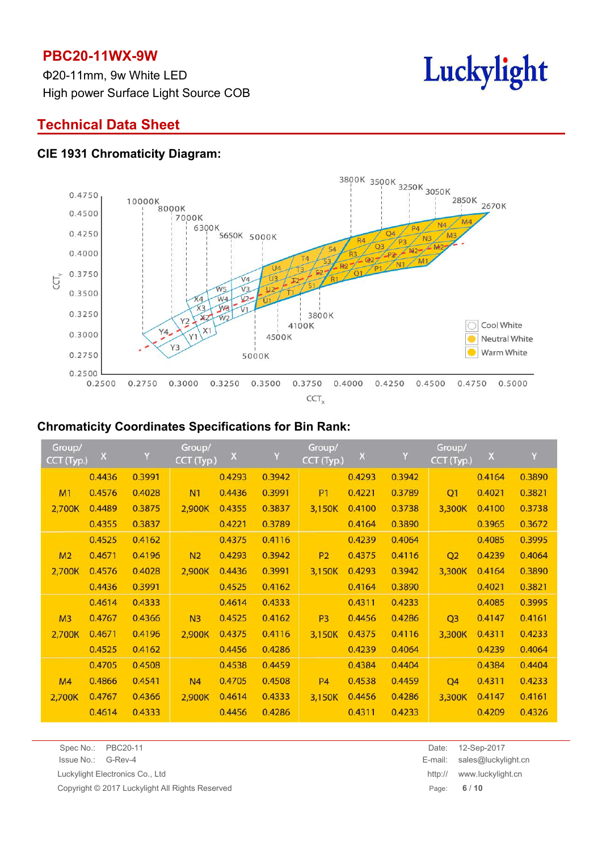Φ20-11mm, 9w White LED High power Surface Light Source COB



# **Technical Data Sheet**

#### **CIE 1931 Chromaticity Diagram:**



#### **Chromaticity Coordinates Specifications for Bin Rank:**

| Group/<br>CCT (Typ.) | $\mathsf{X}$ | Y      | Group/<br>CCT (Typ.) | $\mathsf X$ | Y      | Group/<br>CCT (Typ.) | $\mathsf X$ | Y      | Group/<br>CCT (Typ.) | $\mathsf X$ | Y      |
|----------------------|--------------|--------|----------------------|-------------|--------|----------------------|-------------|--------|----------------------|-------------|--------|
|                      | 0.4436       | 0.3991 |                      | 0.4293      | 0.3942 |                      | 0.4293      | 0.3942 |                      | 0.4164      | 0.3890 |
| M1                   | 0.4576       | 0.4028 | N <sub>1</sub>       | 0.4436      | 0.3991 | <b>P1</b>            | 0.4221      | 0.3789 | Q1                   | 0.4021      | 0.3821 |
| 2,700K               | 0.4489       | 0.3875 | 2,900K               | 0.4355      | 0.3837 | 3,150K               | 0.4100      | 0.3738 | 3,300K               | 0.4100      | 0.3738 |
|                      | 0.4355       | 0.3837 |                      | 0.4221      | 0.3789 |                      | 0.4164      | 0.3890 |                      | 0.3965      | 0.3672 |
|                      | 0.4525       | 0.4162 |                      | 0.4375      | 0.4116 |                      | 0.4239      | 0.4064 |                      | 0.4085      | 0.3995 |
| M <sub>2</sub>       | 0.4671       | 0.4196 | N <sub>2</sub>       | 0.4293      | 0.3942 | <b>P2</b>            | 0.4375      | 0.4116 | Q2                   | 0.4239      | 0.4064 |
| 2,700K               | 0.4576       | 0.4028 | 2,900K               | 0.4436      | 0.3991 | 3,150K               | 0.4293      | 0.3942 | 3,300K               | 0.4164      | 0.3890 |
|                      | 0.4436       | 0.3991 |                      | 0.4525      | 0.4162 |                      | 0.4164      | 0.3890 |                      | 0.4021      | 0.3821 |
|                      | 0.4614       | 0.4333 |                      | 0.4614      | 0.4333 |                      | 0.4311      | 0.4233 |                      | 0.4085      | 0.3995 |
| M <sub>3</sub>       | 0.4767       | 0.4366 | N <sub>3</sub>       | 0.4525      | 0.4162 | P <sub>3</sub>       | 0.4456      | 0.4286 | Q <sub>3</sub>       | 0.4147      | 0.4161 |
| 2,700K               | 0.4671       | 0.4196 | 2,900K               | 0.4375      | 0.4116 | 3,150K               | 0.4375      | 0.4116 | 3,300K               | 0.4311      | 0.4233 |
|                      | 0.4525       | 0.4162 |                      | 0.4456      | 0.4286 |                      | 0.4239      | 0.4064 |                      | 0.4239      | 0.4064 |
|                      | 0.4705       | 0.4508 |                      | 0.4538      | 0.4459 |                      | 0.4384      | 0.4404 |                      | 0.4384      | 0.4404 |
| M4                   | 0.4866       | 0.4541 | N <sub>4</sub>       | 0.4705      | 0.4508 | <b>P4</b>            | 0.4538      | 0.4459 | Q <sub>4</sub>       | 0.4311      | 0.4233 |
| 2,700K               | 0.4767       | 0.4366 | 2,900K               | 0.4614      | 0.4333 | 3,150K               | 0.4456      | 0.4286 | 3,300K               | 0.4147      | 0.4161 |
|                      | 0.4614       | 0.4333 |                      | 0.4456      | 0.4286 |                      | 0.4311      | 0.4233 |                      | 0.4209      | 0.4326 |

| Issue No.: | G-Rev-4 |
|------------|---------|
|            |         |

Copyright © 2017 Luckylight All Rights Reserved Page: **6** / **10**

Spec No.: PBC20-11 Date: 12-Sep-2017 Issue No.: G-Rev-4 E-mail: sales@luckylight.cn Luckylight Electronics Co., Ltd http:// www.luckylight.cn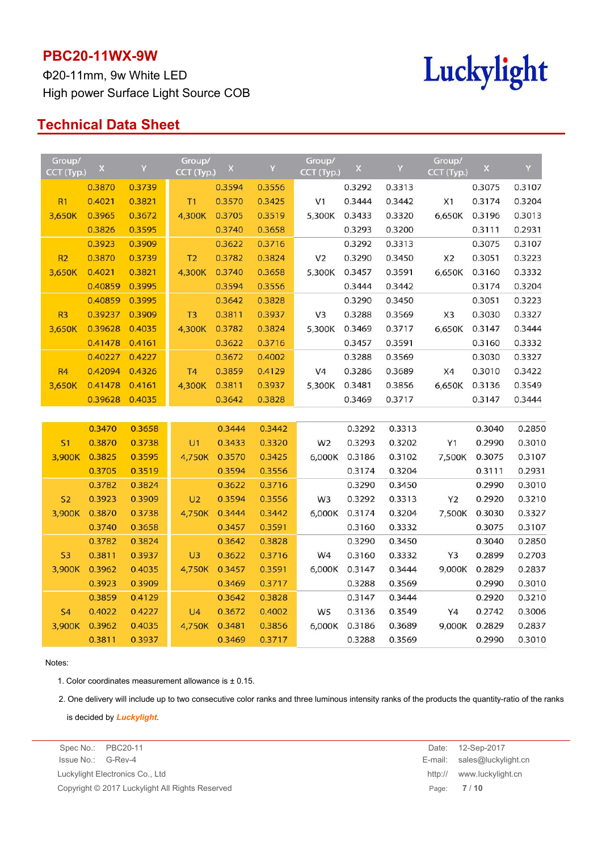Φ20-11mm, 9w White LED High power Surface Light Source COB



## **Technical Data Sheet**

| Group/<br>CCT (Typ.) | $\pmb{\times}$ | Y      | Group/<br>CCT (Typ.) | $\mathsf X$ | Y      | Group/<br>CCT (Typ.) | $\mathsf X$ | Y      | Group/<br>CCT (Typ.) | $\mathsf X$ | Y      |
|----------------------|----------------|--------|----------------------|-------------|--------|----------------------|-------------|--------|----------------------|-------------|--------|
|                      | 0.3870         | 0.3739 |                      | 0.3594      | 0.3556 |                      | 0.3292      | 0.3313 |                      | 0.3075      | 0.3107 |
| R1                   | 0.4021         | 0.3821 | <b>T1</b>            | 0.3570      | 0.3425 | V1                   | 0.3444      | 0.3442 | X1                   | 0.3174      | 0.3204 |
| 3,650K               | 0.3965         | 0.3672 | 4,300K               | 0.3705      | 0.3519 | 5,300K               | 0.3433      | 0.3320 | 6,650K               | 0.3196      | 0.3013 |
|                      | 0.3826         | 0.3595 |                      | 0.3740      | 0.3658 |                      | 0.3293      | 0.3200 |                      | 0.3111      | 0.2931 |
|                      | 0.3923         | 0.3909 |                      | 0.3622      | 0.3716 |                      | 0.3292      | 0.3313 |                      | 0.3075      | 0.3107 |
| R <sub>2</sub>       | 0.3870         | 0.3739 | T <sub>2</sub>       | 0.3782      | 0.3824 | V <sub>2</sub>       | 0.3290      | 0.3450 | X <sub>2</sub>       | 0.3051      | 0.3223 |
| 3,650K               | 0.4021         | 0.3821 | 4,300K               | 0.3740      | 0.3658 | 5,300K               | 0.3457      | 0.3591 | 6,650K               | 0.3160      | 0.3332 |
|                      | 0.40859        | 0.3995 |                      | 0.3594      | 0.3556 |                      | 0.3444      | 0.3442 |                      | 0.3174      | 0.3204 |
|                      | 0.40859        | 0.3995 |                      | 0.3642      | 0.3828 |                      | 0.3290      | 0.3450 |                      | 0.3051      | 0.3223 |
| R <sub>3</sub>       | 0.39237        | 0.3909 | T <sub>3</sub>       | 0.3811      | 0.3937 | V <sub>3</sub>       | 0.3288      | 0.3569 | X <sub>3</sub>       | 0.3030      | 0.3327 |
| 3,650K               | 0.39628        | 0.4035 | 4,300K               | 0.3782      | 0.3824 | 5,300K               | 0.3469      | 0.3717 | 6,650K               | 0.3147      | 0.3444 |
|                      | 0.41478        | 0.4161 |                      | 0.3622      | 0.3716 |                      | 0.3457      | 0.3591 |                      | 0.3160      | 0.3332 |
|                      | 0.40227        | 0.4227 |                      | 0.3672      | 0.4002 |                      | 0.3288      | 0.3569 |                      | 0.3030      | 0.3327 |
| <b>R4</b>            | 0.42094        | 0.4326 | T <sub>4</sub>       | 0.3859      | 0.4129 | V4                   | 0.3286      | 0.3689 | X4                   | 0.3010      | 0.3422 |
| 3,650K               | 0.41478        | 0.4161 | 4,300K               | 0.3811      | 0.3937 | 5,300K               | 0.3481      | 0.3856 | 6,650K               | 0.3136      | 0.3549 |
|                      | 0.39628        | 0.4035 |                      | 0.3642      | 0.3828 |                      | 0.3469      | 0.3717 |                      | 0.3147      | 0.3444 |
|                      |                |        |                      |             |        |                      |             |        |                      |             |        |
|                      | 0.3470         | 0.3658 |                      | 0.3444      | 0.3442 |                      | 0.3292      | 0.3313 |                      | 0.3040      | 0.2850 |
| S <sub>1</sub>       | 0.3870         | 0.3738 | U1                   | 0.3433      | 0.3320 | W <sub>2</sub>       | 0.3293      | 0.3202 | Y1                   | 0.2990      | 0.3010 |
| 3,900K               | 0.3825         | 0.3595 | 4,750K               | 0.3570      | 0.3425 | 6,000K               | 0.3186      | 0.3102 | 7,500K               | 0.3075      | 0.3107 |
|                      | 0.3705         | 0.3519 |                      | 0.3594      | 0.3556 |                      | 0.3174      | 0.3204 |                      | 0.3111      | 0.2931 |
|                      | 0.3782         | 0.3824 |                      | 0.3622      | 0.3716 |                      | 0.3290      | 0.3450 |                      | 0.2990      | 0.3010 |
| S <sub>2</sub>       | 0.3923         | 0.3909 | U <sub>2</sub>       | 0.3594      | 0.3556 | W <sub>3</sub>       | 0.3292      | 0.3313 | <b>Y2</b>            | 0.2920      | 0.3210 |
| 3,900K               | 0.3870         | 0.3738 | 4,750K               | 0.3444      | 0.3442 | 6,000K               | 0.3174      | 0.3204 | 7,500K               | 0.3030      | 0.3327 |
|                      | 0.3740         | 0.3658 |                      | 0.3457      | 0.3591 |                      | 0.3160      | 0.3332 |                      | 0.3075      | 0.3107 |
|                      | 0.3782         | 0.3824 |                      | 0.3642      | 0.3828 |                      | 0.3290      | 0.3450 |                      | 0.3040      | 0.2850 |
| S <sub>3</sub>       | 0.3811         | 0.3937 | U <sub>3</sub>       | 0.3622      | 0.3716 | W4                   | 0.3160      | 0.3332 | Y3                   | 0.2899      | 0.2703 |
| 3,900K               | 0.3962         | 0.4035 | 4,750K               | 0.3457      | 0.3591 | 6,000K               | 0.3147      | 0.3444 | 9,000K               | 0.2829      | 0.2837 |
|                      | 0.3923         | 0.3909 |                      | 0.3469      | 0.3717 |                      | 0.3288      | 0.3569 |                      | 0.2990      | 0.3010 |
|                      | 0.3859         | 0.4129 |                      | 0.3642      | 0.3828 |                      | 0.3147      | 0.3444 |                      | 0.2920      | 0.3210 |
| <b>S4</b>            | 0.4022         | 0.4227 | U <sub>4</sub>       | 0.3672      | 0.4002 | W <sub>5</sub>       | 0.3136      | 0.3549 | Y4                   | 0.2742      | 0.3006 |
| 3,900K               | 0.3962         | 0.4035 | 4,750K               | 0.3481      | 0.3856 | 6,000K               | 0.3186      | 0.3689 | 9,000K               | 0.2829      | 0.2837 |
|                      | 0.3811         | 0.3937 |                      | 0.3469      | 0.3717 |                      | 0.3288      | 0.3569 |                      | 0.2990      | 0.3010 |

#### Notes:

1. Color coordinates measurement allowance is  $\pm$  0.15.

2. One delivery will include up to two consecutive color ranks and three luminous intensity ranks of the products the quantity-ratio of the ranks

is decided by *Luckylight*.

Issue No.: G-Rev-4 E-mail: sales@luckylight.cn Luckylight Electronics Co., Ltd http:// www.luckylight.cn Copyright © 2017 Luckylight All Rights Reserved **Page: 7** / 10

Spec No.: PBC20-11 Date: 12-Sep-2017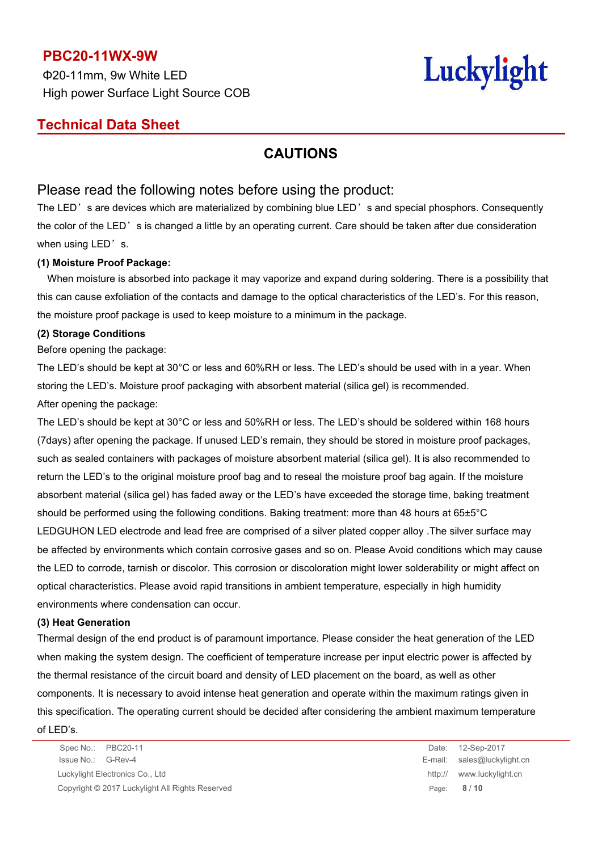Φ20-11mm, 9w White LED High power Surface Light Source COB

# Luckylight

## **Technical Data Sheet**

## **CAUTIONS**

### Please read the following notes before using the product:

The LED's are devices which are materialized by combining blue LED's and special phosphors. Consequently the color of the LED's is changed a little by an operating current. Care should be taken after due consideration when using LED's.

#### **(1) Moisture Proof Package:**

When moisture is absorbed into package it may vaporize and expand during soldering. There is a possibility that this can cause exfoliation of the contacts and damage to the optical characteristics of the LED's. For this reason, the moisture proof package is used to keep moisture to a minimum in the package.

#### **(2) Storage Conditions**

Before opening the package:

The LED's should be kept at 30°C or less and 60%RH or less. The LED's should be used with in a year. When storing the LED's. Moisture proof packaging with absorbent material (silica gel) is recommended. After opening the package:

The LED's should be kept at 30°C or less and 50%RH or less. The LED's should be soldered within 168 hours (7days) after opening the package. If unused LED's remain, they should be stored in moisture proof packages, such as sealed containers with packages of moisture absorbent material (silica gel). It is also recommended to return the LED's to the original moisture proof bag and to reseal the moisture proof bag again. If the moisture absorbent material (silica gel) has faded away or the LED's have exceeded the storage time, baking treatment should be performed using the following conditions. Baking treatment: more than 48 hours at 65±5°C LEDGUHON LED electrode and lead free are comprised of a silver plated copper alloy .The silver surface may be affected by environments which contain corrosive gases and so on. Please Avoid conditions which may cause the LED to corrode, tarnish or discolor. This corrosion or discoloration might lower solderability or might affect on optical characteristics. Please avoid rapid transitions in ambient temperature, especially in high humidity environments where condensation can occur.

#### **(3) Heat Generation**

Thermal design of the end product is of paramount importance. Please consider the heat generation of the LED when making the system design. The coefficient of temperature increase per input electric power is affected by the thermal resistance of the circuit board and density of LED placement on the board, as well as other components. It is necessary to avoid intense heat generation and operate within the maximum ratings given in this specification. The operating current should be decided after considering the ambient maximum temperature

of LED's.

Spec No.: PBC20-11 Date: 12-Sep-2017 Issue No.: G-Rev-4 E-mail: sales@luckylight.cn Luckylight Electronics Co., Ltd http:// www.luckylight.cn Copyright © 2017 Luckylight All Rights Reserved Page: **8** / **10**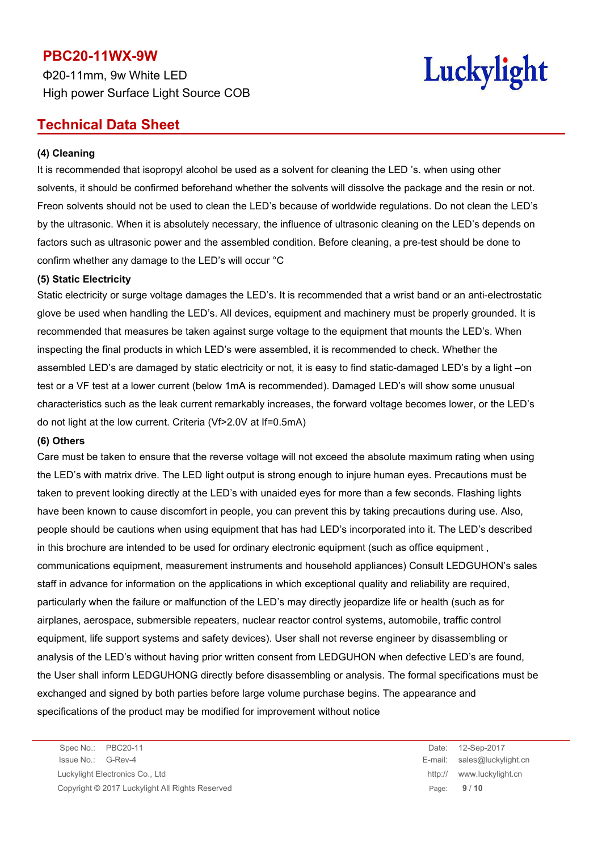Φ20-11mm, 9w White LED High power Surface Light Source COB



## **Technical Data Sheet**

#### **(4) Cleaning**

It is recommended that isopropyl alcohol be used as a solvent for cleaning the LED 's. when using other solvents, it should be confirmed beforehand whether the solvents will dissolve the package and the resin or not. Freon solvents should not be used to clean the LED's because of worldwide regulations. Do not clean the LED's by the ultrasonic. When it is absolutely necessary, the influence of ultrasonic cleaning on the LED's depends on factors such as ultrasonic power and the assembled condition. Before cleaning, a pre-test should be done to confirm whether any damage to the LED's will occur °C

#### **(5) Static Electricity**

Static electricity or surge voltage damages the LED's. It is recommended that a wrist band or an anti-electrostatic glove be used when handling the LED's. All devices, equipment and machinery must be properly grounded. It is recommended that measures be taken against surge voltage to the equipment that mounts the LED's. When inspecting the final products in which LED's were assembled, it is recommended to check. Whether the assembled LED's are damaged by static electricity or not, it is easy to find static-damaged LED's by a light –on test or a VF test at a lower current (below 1mA is recommended). Damaged LED's will show some unusual characteristics such as the leak current remarkably increases, the forward voltage becomes lower, or the LED's do not light at the low current. Criteria (Vf>2.0V at If=0.5mA)

#### **(6) Others**

Care must be taken to ensure that the reverse voltage will not exceed the absolute maximum rating when using the LED's with matrix drive. The LED light output is strong enough to injure human eyes. Precautions must be taken to prevent looking directly at the LED's with unaided eyes for more than a few seconds. Flashing lights have been known to cause discomfort in people, you can prevent this by taking precautions during use. Also, people should be cautions when using equipment that has had LED's incorporated into it. The LED's described in this brochure are intended to be used for ordinary electronic equipment (such as office equipment , communications equipment, measurement instruments and household appliances) Consult LEDGUHON's sales staff in advance for information on the applications in which exceptional quality and reliability are required, particularly when the failure or malfunction of the LED's may directly jeopardize life or health (such as for airplanes, aerospace, submersible repeaters, nuclear reactor control systems, automobile, traffic control equipment, life support systems and safety devices). User shall not reverse engineer by disassembling or analysis of the LED's without having prior written consent from LEDGUHON when defective LED's are found, the User shall inform LEDGUHONG directly before disassembling or analysis. The formal specifications must be exchanged and signed by both parties before large volume purchase begins. The appearance and specifications of the product may be modified for improvement without notice